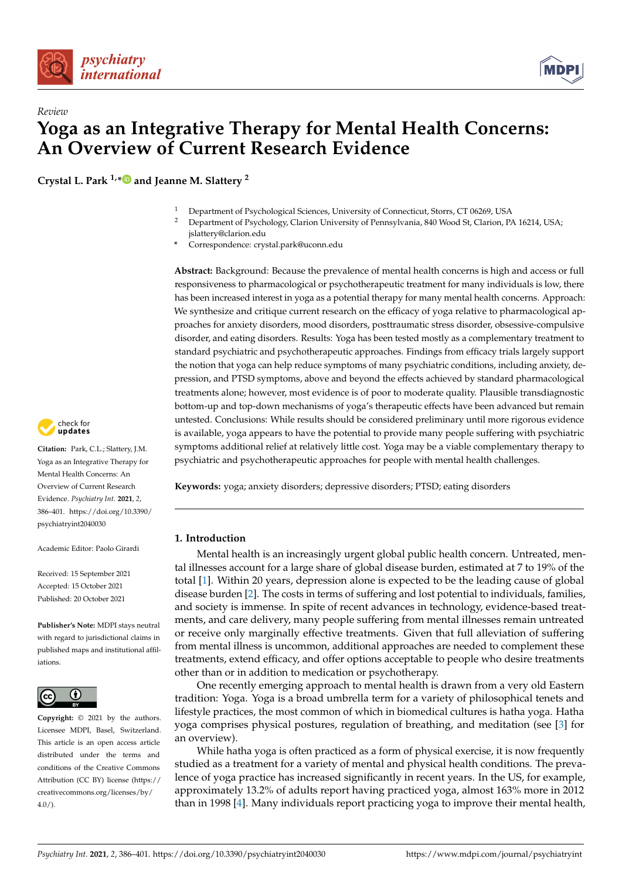



**Crystal L. Park 1,[\\*](https://orcid.org/0000-0001-6572-7321) and Jeanne M. Slattery <sup>2</sup>**

- <sup>1</sup> Department of Psychological Sciences, University of Connecticut, Storrs, CT 06269, USA<br><sup>2</sup> Department of Psychology Clarion University of Pennsylvania, 840 Wood St. Clarion, Pa
- <sup>2</sup> Department of Psychology, Clarion University of Pennsylvania, 840 Wood St, Clarion, PA 16214, USA; jslattery@clarion.edu
- **\*** Correspondence: crystal.park@uconn.edu

**Abstract:** Background: Because the prevalence of mental health concerns is high and access or full responsiveness to pharmacological or psychotherapeutic treatment for many individuals is low, there has been increased interest in yoga as a potential therapy for many mental health concerns. Approach: We synthesize and critique current research on the efficacy of yoga relative to pharmacological approaches for anxiety disorders, mood disorders, posttraumatic stress disorder, obsessive-compulsive disorder, and eating disorders. Results: Yoga has been tested mostly as a complementary treatment to standard psychiatric and psychotherapeutic approaches. Findings from efficacy trials largely support the notion that yoga can help reduce symptoms of many psychiatric conditions, including anxiety, depression, and PTSD symptoms, above and beyond the effects achieved by standard pharmacological treatments alone; however, most evidence is of poor to moderate quality. Plausible transdiagnostic bottom-up and top-down mechanisms of yoga's therapeutic effects have been advanced but remain untested. Conclusions: While results should be considered preliminary until more rigorous evidence is available, yoga appears to have the potential to provide many people suffering with psychiatric symptoms additional relief at relatively little cost. Yoga may be a viable complementary therapy to psychiatric and psychotherapeutic approaches for people with mental health challenges.

**Keywords:** yoga; anxiety disorders; depressive disorders; PTSD; eating disorders

#### **1. Introduction**

Mental health is an increasingly urgent global public health concern. Untreated, mental illnesses account for a large share of global disease burden, estimated at 7 to 19% of the total [\[1\]](#page-12-0). Within 20 years, depression alone is expected to be the leading cause of global disease burden [\[2\]](#page-12-1). The costs in terms of suffering and lost potential to individuals, families, and society is immense. In spite of recent advances in technology, evidence-based treatments, and care delivery, many people suffering from mental illnesses remain untreated or receive only marginally effective treatments. Given that full alleviation of suffering from mental illness is uncommon, additional approaches are needed to complement these treatments, extend efficacy, and offer options acceptable to people who desire treatments other than or in addition to medication or psychotherapy.

One recently emerging approach to mental health is drawn from a very old Eastern tradition: Yoga. Yoga is a broad umbrella term for a variety of philosophical tenets and lifestyle practices, the most common of which in biomedical cultures is hatha yoga. Hatha yoga comprises physical postures, regulation of breathing, and meditation (see [\[3\]](#page-12-2) for an overview).

While hatha yoga is often practiced as a form of physical exercise, it is now frequently studied as a treatment for a variety of mental and physical health conditions. The prevalence of yoga practice has increased significantly in recent years. In the US, for example, approximately 13.2% of adults report having practiced yoga, almost 163% more in 2012 than in 1998 [\[4\]](#page-12-3). Many individuals report practicing yoga to improve their mental health,



**Citation:** Park, C.L.; Slattery, J.M. Yoga as an Integrative Therapy for Mental Health Concerns: An Overview of Current Research Evidence. *Psychiatry Int.* **2021**, *2*, 386–401. [https://doi.org/10.3390/](https://doi.org/10.3390/psychiatryint2040030) [psychiatryint2040030](https://doi.org/10.3390/psychiatryint2040030)

Academic Editor: Paolo Girardi

Received: 15 September 2021 Accepted: 15 October 2021 Published: 20 October 2021

**Publisher's Note:** MDPI stays neutral with regard to jurisdictional claims in published maps and institutional affiliations.



**Copyright:** © 2021 by the authors. Licensee MDPI, Basel, Switzerland. This article is an open access article distributed under the terms and conditions of the Creative Commons Attribution (CC BY) license (https:/[/](https://creativecommons.org/licenses/by/4.0/) [creativecommons.org/licenses/by/](https://creativecommons.org/licenses/by/4.0/)  $4.0/$ ).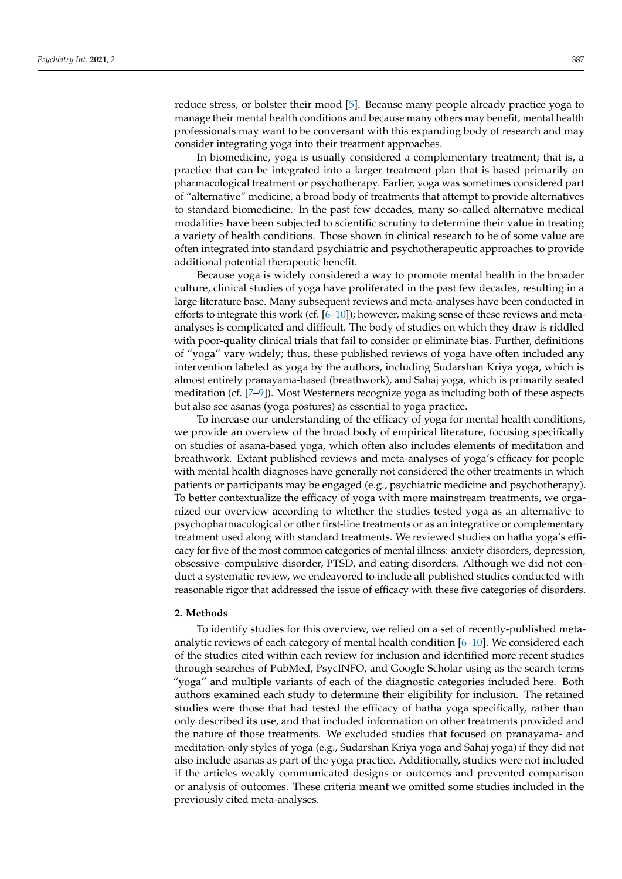reduce stress, or bolster their mood [\[5\]](#page-12-4). Because many people already practice yoga to manage their mental health conditions and because many others may benefit, mental health professionals may want to be conversant with this expanding body of research and may consider integrating yoga into their treatment approaches.

In biomedicine, yoga is usually considered a complementary treatment; that is, a practice that can be integrated into a larger treatment plan that is based primarily on pharmacological treatment or psychotherapy. Earlier, yoga was sometimes considered part of "alternative" medicine, a broad body of treatments that attempt to provide alternatives to standard biomedicine. In the past few decades, many so-called alternative medical modalities have been subjected to scientific scrutiny to determine their value in treating a variety of health conditions. Those shown in clinical research to be of some value are often integrated into standard psychiatric and psychotherapeutic approaches to provide additional potential therapeutic benefit.

Because yoga is widely considered a way to promote mental health in the broader culture, clinical studies of yoga have proliferated in the past few decades, resulting in a large literature base. Many subsequent reviews and meta-analyses have been conducted in efforts to integrate this work (cf.  $[6-10]$  $[6-10]$ ); however, making sense of these reviews and metaanalyses is complicated and difficult. The body of studies on which they draw is riddled with poor-quality clinical trials that fail to consider or eliminate bias. Further, definitions of "yoga" vary widely; thus, these published reviews of yoga have often included any intervention labeled as yoga by the authors, including Sudarshan Kriya yoga, which is almost entirely pranayama-based (breathwork), and Sahaj yoga, which is primarily seated meditation (cf. [\[7–](#page-12-7)[9\]](#page-12-8)). Most Westerners recognize yoga as including both of these aspects but also see asanas (yoga postures) as essential to yoga practice.

To increase our understanding of the efficacy of yoga for mental health conditions, we provide an overview of the broad body of empirical literature, focusing specifically on studies of asana-based yoga, which often also includes elements of meditation and breathwork. Extant published reviews and meta-analyses of yoga's efficacy for people with mental health diagnoses have generally not considered the other treatments in which patients or participants may be engaged (e.g., psychiatric medicine and psychotherapy). To better contextualize the efficacy of yoga with more mainstream treatments, we organized our overview according to whether the studies tested yoga as an alternative to psychopharmacological or other first-line treatments or as an integrative or complementary treatment used along with standard treatments. We reviewed studies on hatha yoga's efficacy for five of the most common categories of mental illness: anxiety disorders, depression, obsessive–compulsive disorder, PTSD, and eating disorders. Although we did not conduct a systematic review, we endeavored to include all published studies conducted with reasonable rigor that addressed the issue of efficacy with these five categories of disorders.

### **2. Methods**

To identify studies for this overview, we relied on a set of recently-published metaanalytic reviews of each category of mental health condition [\[6–](#page-12-5)[10\]](#page-12-6). We considered each of the studies cited within each review for inclusion and identified more recent studies through searches of PubMed, PsycINFO, and Google Scholar using as the search terms "yoga" and multiple variants of each of the diagnostic categories included here. Both authors examined each study to determine their eligibility for inclusion. The retained studies were those that had tested the efficacy of hatha yoga specifically, rather than only described its use, and that included information on other treatments provided and the nature of those treatments. We excluded studies that focused on pranayama- and meditation-only styles of yoga (e.g., Sudarshan Kriya yoga and Sahaj yoga) if they did not also include asanas as part of the yoga practice. Additionally, studies were not included if the articles weakly communicated designs or outcomes and prevented comparison or analysis of outcomes. These criteria meant we omitted some studies included in the previously cited meta-analyses.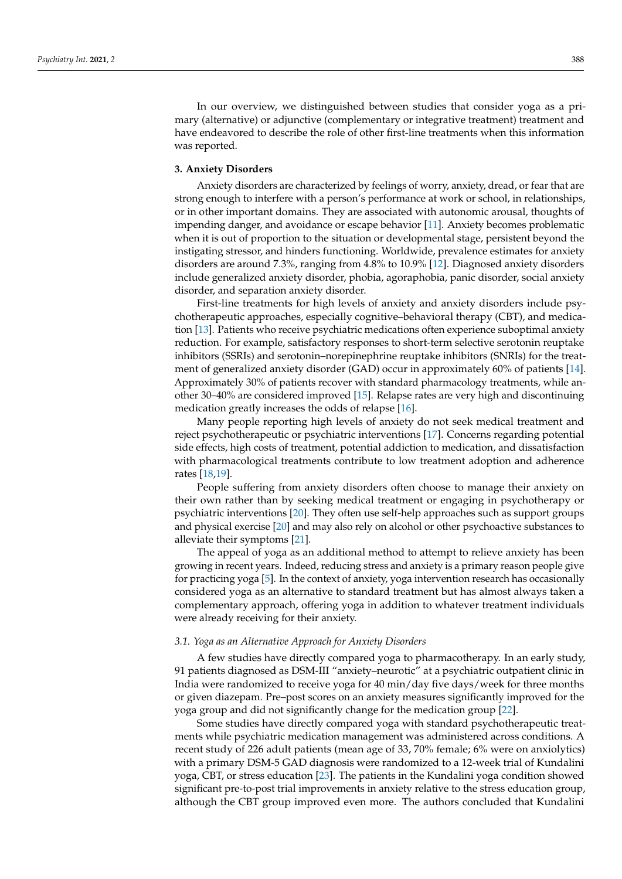In our overview, we distinguished between studies that consider yoga as a primary (alternative) or adjunctive (complementary or integrative treatment) treatment and have endeavored to describe the role of other first-line treatments when this information was reported.

### **3. Anxiety Disorders**

Anxiety disorders are characterized by feelings of worry, anxiety, dread, or fear that are strong enough to interfere with a person's performance at work or school, in relationships, or in other important domains. They are associated with autonomic arousal, thoughts of impending danger, and avoidance or escape behavior [\[11\]](#page-12-9). Anxiety becomes problematic when it is out of proportion to the situation or developmental stage, persistent beyond the instigating stressor, and hinders functioning. Worldwide, prevalence estimates for anxiety disorders are around 7.3%, ranging from 4.8% to 10.9% [\[12\]](#page-12-10). Diagnosed anxiety disorders include generalized anxiety disorder, phobia, agoraphobia, panic disorder, social anxiety disorder, and separation anxiety disorder.

First-line treatments for high levels of anxiety and anxiety disorders include psychotherapeutic approaches, especially cognitive–behavioral therapy (CBT), and medication [\[13\]](#page-12-11). Patients who receive psychiatric medications often experience suboptimal anxiety reduction. For example, satisfactory responses to short-term selective serotonin reuptake inhibitors (SSRIs) and serotonin–norepinephrine reuptake inhibitors (SNRIs) for the treatment of generalized anxiety disorder (GAD) occur in approximately 60% of patients [\[14\]](#page-12-12). Approximately 30% of patients recover with standard pharmacology treatments, while another 30–40% are considered improved [\[15\]](#page-12-13). Relapse rates are very high and discontinuing medication greatly increases the odds of relapse [\[16\]](#page-12-14).

Many people reporting high levels of anxiety do not seek medical treatment and reject psychotherapeutic or psychiatric interventions [\[17\]](#page-12-15). Concerns regarding potential side effects, high costs of treatment, potential addiction to medication, and dissatisfaction with pharmacological treatments contribute to low treatment adoption and adherence rates [\[18,](#page-12-16)[19\]](#page-12-17).

People suffering from anxiety disorders often choose to manage their anxiety on their own rather than by seeking medical treatment or engaging in psychotherapy or psychiatric interventions [\[20\]](#page-12-18). They often use self-help approaches such as support groups and physical exercise [\[20\]](#page-12-18) and may also rely on alcohol or other psychoactive substances to alleviate their symptoms [\[21\]](#page-13-0).

The appeal of yoga as an additional method to attempt to relieve anxiety has been growing in recent years. Indeed, reducing stress and anxiety is a primary reason people give for practicing yoga [\[5\]](#page-12-4). In the context of anxiety, yoga intervention research has occasionally considered yoga as an alternative to standard treatment but has almost always taken a complementary approach, offering yoga in addition to whatever treatment individuals were already receiving for their anxiety.

#### *3.1. Yoga as an Alternative Approach for Anxiety Disorders*

A few studies have directly compared yoga to pharmacotherapy. In an early study, 91 patients diagnosed as DSM-III "anxiety–neurotic" at a psychiatric outpatient clinic in India were randomized to receive yoga for 40 min/day five days/week for three months or given diazepam. Pre–post scores on an anxiety measures significantly improved for the yoga group and did not significantly change for the medication group [\[22\]](#page-13-1).

Some studies have directly compared yoga with standard psychotherapeutic treatments while psychiatric medication management was administered across conditions. A recent study of 226 adult patients (mean age of 33, 70% female; 6% were on anxiolytics) with a primary DSM-5 GAD diagnosis were randomized to a 12-week trial of Kundalini yoga, CBT, or stress education [\[23\]](#page-13-2). The patients in the Kundalini yoga condition showed significant pre-to-post trial improvements in anxiety relative to the stress education group, although the CBT group improved even more. The authors concluded that Kundalini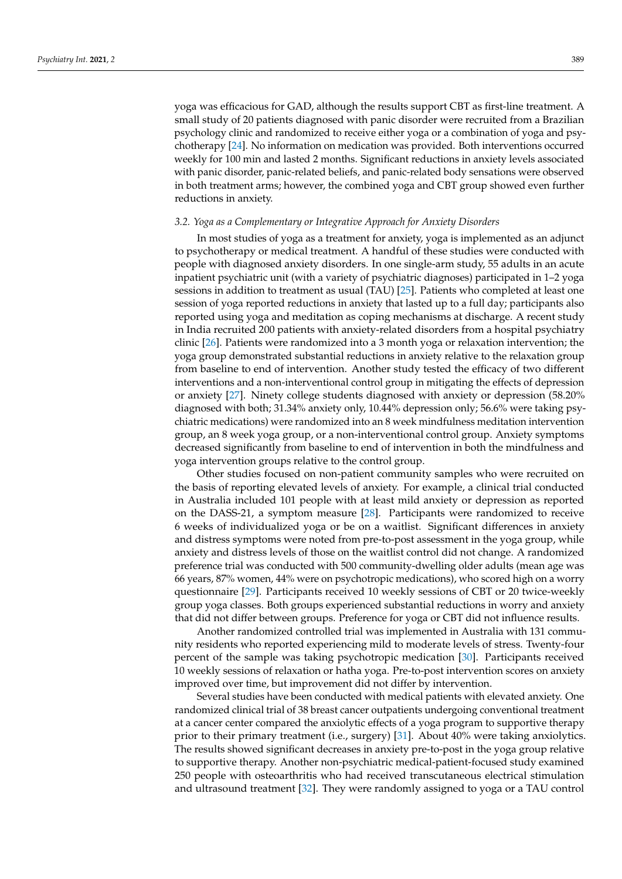yoga was efficacious for GAD, although the results support CBT as first-line treatment. A small study of 20 patients diagnosed with panic disorder were recruited from a Brazilian psychology clinic and randomized to receive either yoga or a combination of yoga and psychotherapy [\[24\]](#page-13-3). No information on medication was provided. Both interventions occurred weekly for 100 min and lasted 2 months. Significant reductions in anxiety levels associated with panic disorder, panic-related beliefs, and panic-related body sensations were observed in both treatment arms; however, the combined yoga and CBT group showed even further reductions in anxiety.

# *3.2. Yoga as a Complementary or Integrative Approach for Anxiety Disorders*

In most studies of yoga as a treatment for anxiety, yoga is implemented as an adjunct to psychotherapy or medical treatment. A handful of these studies were conducted with people with diagnosed anxiety disorders. In one single-arm study, 55 adults in an acute inpatient psychiatric unit (with a variety of psychiatric diagnoses) participated in 1–2 yoga sessions in addition to treatment as usual (TAU) [\[25\]](#page-13-4). Patients who completed at least one session of yoga reported reductions in anxiety that lasted up to a full day; participants also reported using yoga and meditation as coping mechanisms at discharge. A recent study in India recruited 200 patients with anxiety-related disorders from a hospital psychiatry clinic [\[26\]](#page-13-5). Patients were randomized into a 3 month yoga or relaxation intervention; the yoga group demonstrated substantial reductions in anxiety relative to the relaxation group from baseline to end of intervention. Another study tested the efficacy of two different interventions and a non-interventional control group in mitigating the effects of depression or anxiety [\[27\]](#page-13-6). Ninety college students diagnosed with anxiety or depression (58.20% diagnosed with both; 31.34% anxiety only, 10.44% depression only; 56.6% were taking psychiatric medications) were randomized into an 8 week mindfulness meditation intervention group, an 8 week yoga group, or a non-interventional control group. Anxiety symptoms decreased significantly from baseline to end of intervention in both the mindfulness and yoga intervention groups relative to the control group.

Other studies focused on non-patient community samples who were recruited on the basis of reporting elevated levels of anxiety. For example, a clinical trial conducted in Australia included 101 people with at least mild anxiety or depression as reported on the DASS-21, a symptom measure [\[28\]](#page-13-7). Participants were randomized to receive 6 weeks of individualized yoga or be on a waitlist. Significant differences in anxiety and distress symptoms were noted from pre-to-post assessment in the yoga group, while anxiety and distress levels of those on the waitlist control did not change. A randomized preference trial was conducted with 500 community-dwelling older adults (mean age was 66 years, 87% women, 44% were on psychotropic medications), who scored high on a worry questionnaire [\[29\]](#page-13-8). Participants received 10 weekly sessions of CBT or 20 twice-weekly group yoga classes. Both groups experienced substantial reductions in worry and anxiety that did not differ between groups. Preference for yoga or CBT did not influence results.

Another randomized controlled trial was implemented in Australia with 131 community residents who reported experiencing mild to moderate levels of stress. Twenty-four percent of the sample was taking psychotropic medication [\[30\]](#page-13-9). Participants received 10 weekly sessions of relaxation or hatha yoga. Pre-to-post intervention scores on anxiety improved over time, but improvement did not differ by intervention.

Several studies have been conducted with medical patients with elevated anxiety. One randomized clinical trial of 38 breast cancer outpatients undergoing conventional treatment at a cancer center compared the anxiolytic effects of a yoga program to supportive therapy prior to their primary treatment (i.e., surgery) [\[31\]](#page-13-10). About 40% were taking anxiolytics. The results showed significant decreases in anxiety pre-to-post in the yoga group relative to supportive therapy. Another non-psychiatric medical-patient-focused study examined 250 people with osteoarthritis who had received transcutaneous electrical stimulation and ultrasound treatment [\[32\]](#page-13-11). They were randomly assigned to yoga or a TAU control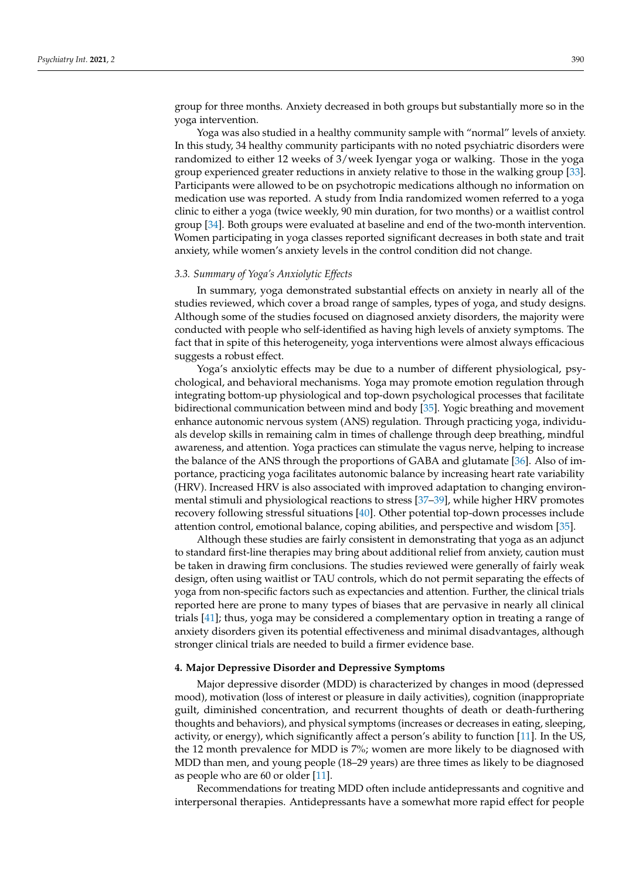group for three months. Anxiety decreased in both groups but substantially more so in the yoga intervention.

Yoga was also studied in a healthy community sample with "normal" levels of anxiety. In this study, 34 healthy community participants with no noted psychiatric disorders were randomized to either 12 weeks of 3/week Iyengar yoga or walking. Those in the yoga group experienced greater reductions in anxiety relative to those in the walking group [\[33\]](#page-13-12). Participants were allowed to be on psychotropic medications although no information on medication use was reported. A study from India randomized women referred to a yoga clinic to either a yoga (twice weekly, 90 min duration, for two months) or a waitlist control group [\[34\]](#page-13-13). Both groups were evaluated at baseline and end of the two-month intervention. Women participating in yoga classes reported significant decreases in both state and trait anxiety, while women's anxiety levels in the control condition did not change.

#### *3.3. Summary of Yoga's Anxiolytic Effects*

In summary, yoga demonstrated substantial effects on anxiety in nearly all of the studies reviewed, which cover a broad range of samples, types of yoga, and study designs. Although some of the studies focused on diagnosed anxiety disorders, the majority were conducted with people who self-identified as having high levels of anxiety symptoms. The fact that in spite of this heterogeneity, yoga interventions were almost always efficacious suggests a robust effect.

Yoga's anxiolytic effects may be due to a number of different physiological, psychological, and behavioral mechanisms. Yoga may promote emotion regulation through integrating bottom-up physiological and top-down psychological processes that facilitate bidirectional communication between mind and body [\[35\]](#page-13-14). Yogic breathing and movement enhance autonomic nervous system (ANS) regulation. Through practicing yoga, individuals develop skills in remaining calm in times of challenge through deep breathing, mindful awareness, and attention. Yoga practices can stimulate the vagus nerve, helping to increase the balance of the ANS through the proportions of GABA and glutamate [\[36\]](#page-13-15). Also of importance, practicing yoga facilitates autonomic balance by increasing heart rate variability (HRV). Increased HRV is also associated with improved adaptation to changing environmental stimuli and physiological reactions to stress [\[37](#page-13-16)[–39\]](#page-13-17), while higher HRV promotes recovery following stressful situations [\[40\]](#page-13-18). Other potential top-down processes include attention control, emotional balance, coping abilities, and perspective and wisdom [\[35\]](#page-13-14).

Although these studies are fairly consistent in demonstrating that yoga as an adjunct to standard first-line therapies may bring about additional relief from anxiety, caution must be taken in drawing firm conclusions. The studies reviewed were generally of fairly weak design, often using waitlist or TAU controls, which do not permit separating the effects of yoga from non-specific factors such as expectancies and attention. Further, the clinical trials reported here are prone to many types of biases that are pervasive in nearly all clinical trials [\[41\]](#page-13-19); thus, yoga may be considered a complementary option in treating a range of anxiety disorders given its potential effectiveness and minimal disadvantages, although stronger clinical trials are needed to build a firmer evidence base.

# **4. Major Depressive Disorder and Depressive Symptoms**

Major depressive disorder (MDD) is characterized by changes in mood (depressed mood), motivation (loss of interest or pleasure in daily activities), cognition (inappropriate guilt, diminished concentration, and recurrent thoughts of death or death-furthering thoughts and behaviors), and physical symptoms (increases or decreases in eating, sleeping, activity, or energy), which significantly affect a person's ability to function [\[11\]](#page-12-9). In the US, the 12 month prevalence for MDD is 7%; women are more likely to be diagnosed with MDD than men, and young people (18–29 years) are three times as likely to be diagnosed as people who are 60 or older [\[11\]](#page-12-9).

Recommendations for treating MDD often include antidepressants and cognitive and interpersonal therapies. Antidepressants have a somewhat more rapid effect for people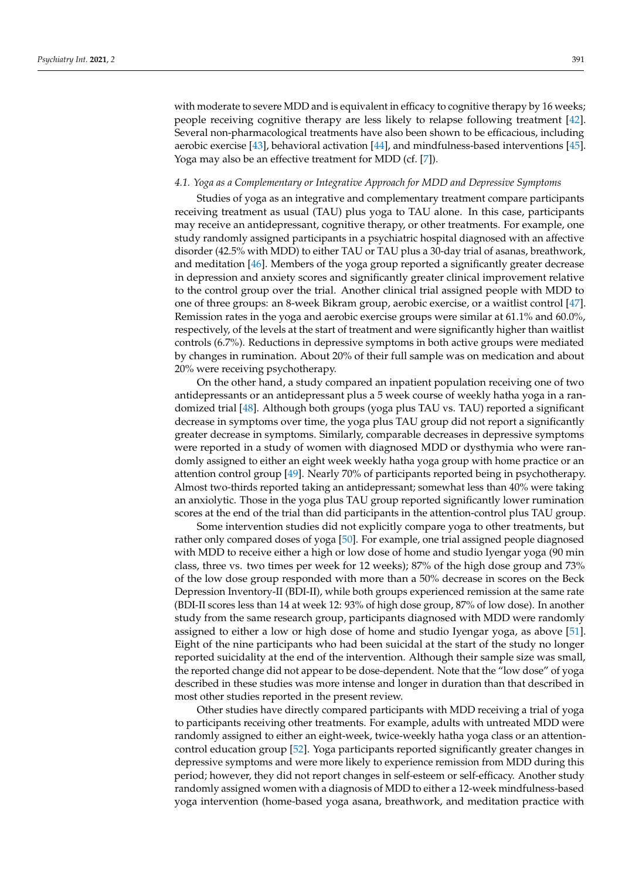with moderate to severe MDD and is equivalent in efficacy to cognitive therapy by 16 weeks; people receiving cognitive therapy are less likely to relapse following treatment [\[42\]](#page-13-20). Several non-pharmacological treatments have also been shown to be efficacious, including aerobic exercise [\[43\]](#page-13-21), behavioral activation [\[44\]](#page-13-22), and mindfulness-based interventions [\[45\]](#page-13-23). Yoga may also be an effective treatment for MDD (cf. [\[7\]](#page-12-7)).

### *4.1. Yoga as a Complementary or Integrative Approach for MDD and Depressive Symptoms*

Studies of yoga as an integrative and complementary treatment compare participants receiving treatment as usual (TAU) plus yoga to TAU alone. In this case, participants may receive an antidepressant, cognitive therapy, or other treatments. For example, one study randomly assigned participants in a psychiatric hospital diagnosed with an affective disorder (42.5% with MDD) to either TAU or TAU plus a 30-day trial of asanas, breathwork, and meditation [\[46\]](#page-13-24). Members of the yoga group reported a significantly greater decrease in depression and anxiety scores and significantly greater clinical improvement relative to the control group over the trial. Another clinical trial assigned people with MDD to one of three groups: an 8-week Bikram group, aerobic exercise, or a waitlist control [\[47\]](#page-13-25). Remission rates in the yoga and aerobic exercise groups were similar at 61.1% and 60.0%, respectively, of the levels at the start of treatment and were significantly higher than waitlist controls (6.7%). Reductions in depressive symptoms in both active groups were mediated by changes in rumination. About 20% of their full sample was on medication and about 20% were receiving psychotherapy.

On the other hand, a study compared an inpatient population receiving one of two antidepressants or an antidepressant plus a 5 week course of weekly hatha yoga in a randomized trial [\[48\]](#page-14-0). Although both groups (yoga plus TAU vs. TAU) reported a significant decrease in symptoms over time, the yoga plus TAU group did not report a significantly greater decrease in symptoms. Similarly, comparable decreases in depressive symptoms were reported in a study of women with diagnosed MDD or dysthymia who were randomly assigned to either an eight week weekly hatha yoga group with home practice or an attention control group [\[49\]](#page-14-1). Nearly 70% of participants reported being in psychotherapy. Almost two-thirds reported taking an antidepressant; somewhat less than 40% were taking an anxiolytic. Those in the yoga plus TAU group reported significantly lower rumination scores at the end of the trial than did participants in the attention-control plus TAU group.

Some intervention studies did not explicitly compare yoga to other treatments, but rather only compared doses of yoga [\[50\]](#page-14-2). For example, one trial assigned people diagnosed with MDD to receive either a high or low dose of home and studio Iyengar yoga (90 min class, three vs. two times per week for 12 weeks); 87% of the high dose group and 73% of the low dose group responded with more than a 50% decrease in scores on the Beck Depression Inventory-II (BDI-II), while both groups experienced remission at the same rate (BDI-II scores less than 14 at week 12: 93% of high dose group, 87% of low dose). In another study from the same research group, participants diagnosed with MDD were randomly assigned to either a low or high dose of home and studio Iyengar yoga, as above [\[51\]](#page-14-3). Eight of the nine participants who had been suicidal at the start of the study no longer reported suicidality at the end of the intervention. Although their sample size was small, the reported change did not appear to be dose-dependent. Note that the "low dose" of yoga described in these studies was more intense and longer in duration than that described in most other studies reported in the present review.

Other studies have directly compared participants with MDD receiving a trial of yoga to participants receiving other treatments. For example, adults with untreated MDD were randomly assigned to either an eight-week, twice-weekly hatha yoga class or an attentioncontrol education group [\[52\]](#page-14-4). Yoga participants reported significantly greater changes in depressive symptoms and were more likely to experience remission from MDD during this period; however, they did not report changes in self-esteem or self-efficacy. Another study randomly assigned women with a diagnosis of MDD to either a 12-week mindfulness-based yoga intervention (home-based yoga asana, breathwork, and meditation practice with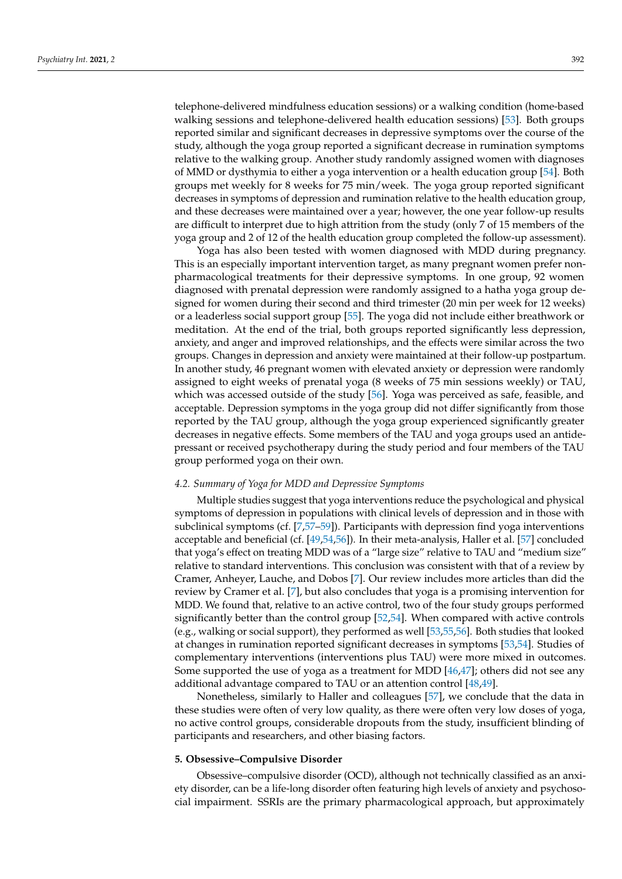telephone-delivered mindfulness education sessions) or a walking condition (home-based walking sessions and telephone-delivered health education sessions) [\[53\]](#page-14-5). Both groups reported similar and significant decreases in depressive symptoms over the course of the study, although the yoga group reported a significant decrease in rumination symptoms relative to the walking group. Another study randomly assigned women with diagnoses of MMD or dysthymia to either a yoga intervention or a health education group [\[54\]](#page-14-6). Both groups met weekly for 8 weeks for 75 min/week. The yoga group reported significant decreases in symptoms of depression and rumination relative to the health education group, and these decreases were maintained over a year; however, the one year follow-up results are difficult to interpret due to high attrition from the study (only 7 of 15 members of the yoga group and 2 of 12 of the health education group completed the follow-up assessment).

Yoga has also been tested with women diagnosed with MDD during pregnancy. This is an especially important intervention target, as many pregnant women prefer nonpharmacological treatments for their depressive symptoms. In one group, 92 women diagnosed with prenatal depression were randomly assigned to a hatha yoga group designed for women during their second and third trimester (20 min per week for 12 weeks) or a leaderless social support group [\[55\]](#page-14-7). The yoga did not include either breathwork or meditation. At the end of the trial, both groups reported significantly less depression, anxiety, and anger and improved relationships, and the effects were similar across the two groups. Changes in depression and anxiety were maintained at their follow-up postpartum. In another study, 46 pregnant women with elevated anxiety or depression were randomly assigned to eight weeks of prenatal yoga (8 weeks of 75 min sessions weekly) or TAU, which was accessed outside of the study [\[56\]](#page-14-8). Yoga was perceived as safe, feasible, and acceptable. Depression symptoms in the yoga group did not differ significantly from those reported by the TAU group, although the yoga group experienced significantly greater decreases in negative effects. Some members of the TAU and yoga groups used an antidepressant or received psychotherapy during the study period and four members of the TAU group performed yoga on their own.

# *4.2. Summary of Yoga for MDD and Depressive Symptoms*

Multiple studies suggest that yoga interventions reduce the psychological and physical symptoms of depression in populations with clinical levels of depression and in those with subclinical symptoms (cf. [\[7](#page-12-7)[,57–](#page-14-9)[59\]](#page-14-10)). Participants with depression find yoga interventions acceptable and beneficial (cf. [\[49](#page-14-1)[,54,](#page-14-6)[56\]](#page-14-8)). In their meta-analysis, Haller et al. [\[57\]](#page-14-9) concluded that yoga's effect on treating MDD was of a "large size" relative to TAU and "medium size" relative to standard interventions. This conclusion was consistent with that of a review by Cramer, Anheyer, Lauche, and Dobos [\[7\]](#page-12-7). Our review includes more articles than did the review by Cramer et al. [\[7\]](#page-12-7), but also concludes that yoga is a promising intervention for MDD. We found that, relative to an active control, two of the four study groups performed significantly better than the control group [\[52](#page-14-4)[,54\]](#page-14-6). When compared with active controls (e.g., walking or social support), they performed as well [\[53,](#page-14-5)[55,](#page-14-7)[56\]](#page-14-8). Both studies that looked at changes in rumination reported significant decreases in symptoms [\[53](#page-14-5)[,54\]](#page-14-6). Studies of complementary interventions (interventions plus TAU) were more mixed in outcomes. Some supported the use of yoga as a treatment for MDD [\[46,](#page-13-24)[47\]](#page-13-25); others did not see any additional advantage compared to TAU or an attention control [\[48,](#page-14-0)[49\]](#page-14-1).

Nonetheless, similarly to Haller and colleagues [\[57\]](#page-14-9), we conclude that the data in these studies were often of very low quality, as there were often very low doses of yoga, no active control groups, considerable dropouts from the study, insufficient blinding of participants and researchers, and other biasing factors.

#### **5. Obsessive–Compulsive Disorder**

Obsessive–compulsive disorder (OCD), although not technically classified as an anxiety disorder, can be a life-long disorder often featuring high levels of anxiety and psychosocial impairment. SSRIs are the primary pharmacological approach, but approximately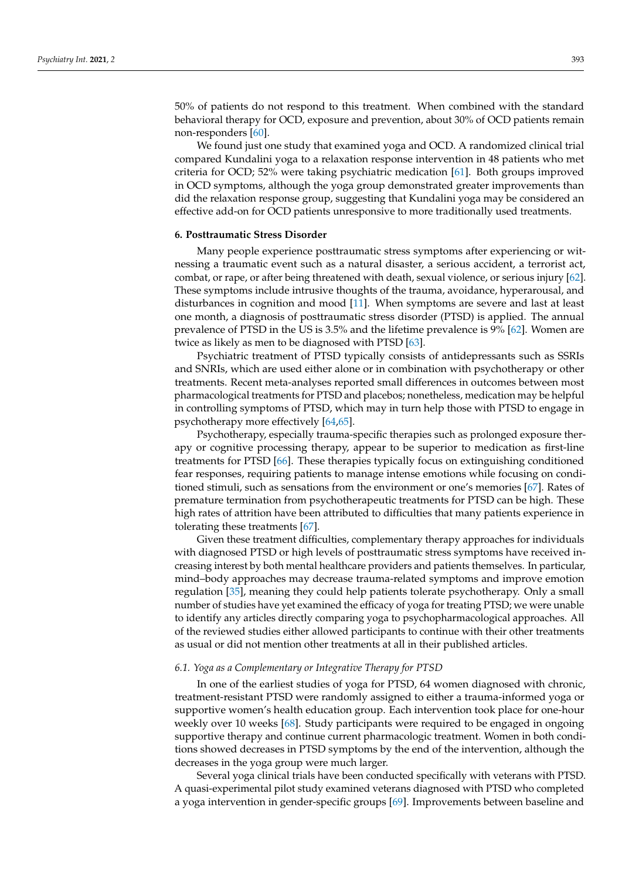50% of patients do not respond to this treatment. When combined with the standard behavioral therapy for OCD, exposure and prevention, about 30% of OCD patients remain non-responders [\[60\]](#page-14-11).

We found just one study that examined yoga and OCD. A randomized clinical trial compared Kundalini yoga to a relaxation response intervention in 48 patients who met criteria for OCD; 52% were taking psychiatric medication [\[61\]](#page-14-12). Both groups improved in OCD symptoms, although the yoga group demonstrated greater improvements than did the relaxation response group, suggesting that Kundalini yoga may be considered an effective add-on for OCD patients unresponsive to more traditionally used treatments.

#### **6. Posttraumatic Stress Disorder**

Many people experience posttraumatic stress symptoms after experiencing or witnessing a traumatic event such as a natural disaster, a serious accident, a terrorist act, combat, or rape, or after being threatened with death, sexual violence, or serious injury [\[62\]](#page-14-13). These symptoms include intrusive thoughts of the trauma, avoidance, hyperarousal, and disturbances in cognition and mood [\[11\]](#page-12-9). When symptoms are severe and last at least one month, a diagnosis of posttraumatic stress disorder (PTSD) is applied. The annual prevalence of PTSD in the US is 3.5% and the lifetime prevalence is 9% [\[62\]](#page-14-13). Women are twice as likely as men to be diagnosed with PTSD [\[63\]](#page-14-14).

Psychiatric treatment of PTSD typically consists of antidepressants such as SSRIs and SNRIs, which are used either alone or in combination with psychotherapy or other treatments. Recent meta-analyses reported small differences in outcomes between most pharmacological treatments for PTSD and placebos; nonetheless, medication may be helpful in controlling symptoms of PTSD, which may in turn help those with PTSD to engage in psychotherapy more effectively [\[64,](#page-14-15)[65\]](#page-14-16).

Psychotherapy, especially trauma-specific therapies such as prolonged exposure therapy or cognitive processing therapy, appear to be superior to medication as first-line treatments for PTSD [\[66\]](#page-14-17). These therapies typically focus on extinguishing conditioned fear responses, requiring patients to manage intense emotions while focusing on conditioned stimuli, such as sensations from the environment or one's memories [\[67\]](#page-14-18). Rates of premature termination from psychotherapeutic treatments for PTSD can be high. These high rates of attrition have been attributed to difficulties that many patients experience in tolerating these treatments [\[67\]](#page-14-18).

Given these treatment difficulties, complementary therapy approaches for individuals with diagnosed PTSD or high levels of posttraumatic stress symptoms have received increasing interest by both mental healthcare providers and patients themselves. In particular, mind–body approaches may decrease trauma-related symptoms and improve emotion regulation [\[35\]](#page-13-14), meaning they could help patients tolerate psychotherapy. Only a small number of studies have yet examined the efficacy of yoga for treating PTSD; we were unable to identify any articles directly comparing yoga to psychopharmacological approaches. All of the reviewed studies either allowed participants to continue with their other treatments as usual or did not mention other treatments at all in their published articles.

### *6.1. Yoga as a Complementary or Integrative Therapy for PTSD*

In one of the earliest studies of yoga for PTSD, 64 women diagnosed with chronic, treatment-resistant PTSD were randomly assigned to either a trauma-informed yoga or supportive women's health education group. Each intervention took place for one-hour weekly over 10 weeks [\[68\]](#page-14-19). Study participants were required to be engaged in ongoing supportive therapy and continue current pharmacologic treatment. Women in both conditions showed decreases in PTSD symptoms by the end of the intervention, although the decreases in the yoga group were much larger.

Several yoga clinical trials have been conducted specifically with veterans with PTSD. A quasi-experimental pilot study examined veterans diagnosed with PTSD who completed a yoga intervention in gender-specific groups [\[69\]](#page-14-20). Improvements between baseline and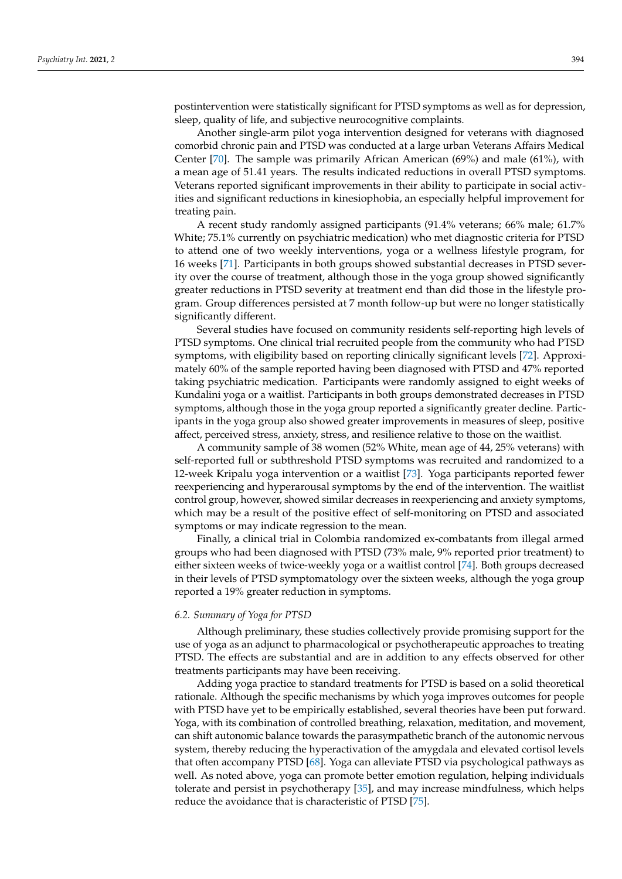postintervention were statistically significant for PTSD symptoms as well as for depression, sleep, quality of life, and subjective neurocognitive complaints.

Another single-arm pilot yoga intervention designed for veterans with diagnosed comorbid chronic pain and PTSD was conducted at a large urban Veterans Affairs Medical Center [\[70\]](#page-14-21). The sample was primarily African American (69%) and male (61%), with a mean age of 51.41 years. The results indicated reductions in overall PTSD symptoms. Veterans reported significant improvements in their ability to participate in social activities and significant reductions in kinesiophobia, an especially helpful improvement for treating pain.

A recent study randomly assigned participants (91.4% veterans; 66% male; 61.7% White; 75.1% currently on psychiatric medication) who met diagnostic criteria for PTSD to attend one of two weekly interventions, yoga or a wellness lifestyle program, for 16 weeks [\[71\]](#page-15-0). Participants in both groups showed substantial decreases in PTSD severity over the course of treatment, although those in the yoga group showed significantly greater reductions in PTSD severity at treatment end than did those in the lifestyle program. Group differences persisted at 7 month follow-up but were no longer statistically significantly different.

Several studies have focused on community residents self-reporting high levels of PTSD symptoms. One clinical trial recruited people from the community who had PTSD symptoms, with eligibility based on reporting clinically significant levels [\[72\]](#page-15-1). Approximately 60% of the sample reported having been diagnosed with PTSD and 47% reported taking psychiatric medication. Participants were randomly assigned to eight weeks of Kundalini yoga or a waitlist. Participants in both groups demonstrated decreases in PTSD symptoms, although those in the yoga group reported a significantly greater decline. Participants in the yoga group also showed greater improvements in measures of sleep, positive affect, perceived stress, anxiety, stress, and resilience relative to those on the waitlist.

A community sample of 38 women (52% White, mean age of 44, 25% veterans) with self-reported full or subthreshold PTSD symptoms was recruited and randomized to a 12-week Kripalu yoga intervention or a waitlist [\[73\]](#page-15-2). Yoga participants reported fewer reexperiencing and hyperarousal symptoms by the end of the intervention. The waitlist control group, however, showed similar decreases in reexperiencing and anxiety symptoms, which may be a result of the positive effect of self-monitoring on PTSD and associated symptoms or may indicate regression to the mean.

Finally, a clinical trial in Colombia randomized ex-combatants from illegal armed groups who had been diagnosed with PTSD (73% male, 9% reported prior treatment) to either sixteen weeks of twice-weekly yoga or a waitlist control [\[74\]](#page-15-3). Both groups decreased in their levels of PTSD symptomatology over the sixteen weeks, although the yoga group reported a 19% greater reduction in symptoms.

### *6.2. Summary of Yoga for PTSD*

Although preliminary, these studies collectively provide promising support for the use of yoga as an adjunct to pharmacological or psychotherapeutic approaches to treating PTSD. The effects are substantial and are in addition to any effects observed for other treatments participants may have been receiving.

Adding yoga practice to standard treatments for PTSD is based on a solid theoretical rationale. Although the specific mechanisms by which yoga improves outcomes for people with PTSD have yet to be empirically established, several theories have been put forward. Yoga, with its combination of controlled breathing, relaxation, meditation, and movement, can shift autonomic balance towards the parasympathetic branch of the autonomic nervous system, thereby reducing the hyperactivation of the amygdala and elevated cortisol levels that often accompany PTSD [\[68\]](#page-14-19). Yoga can alleviate PTSD via psychological pathways as well. As noted above, yoga can promote better emotion regulation, helping individuals tolerate and persist in psychotherapy [\[35\]](#page-13-14), and may increase mindfulness, which helps reduce the avoidance that is characteristic of PTSD [\[75\]](#page-15-4).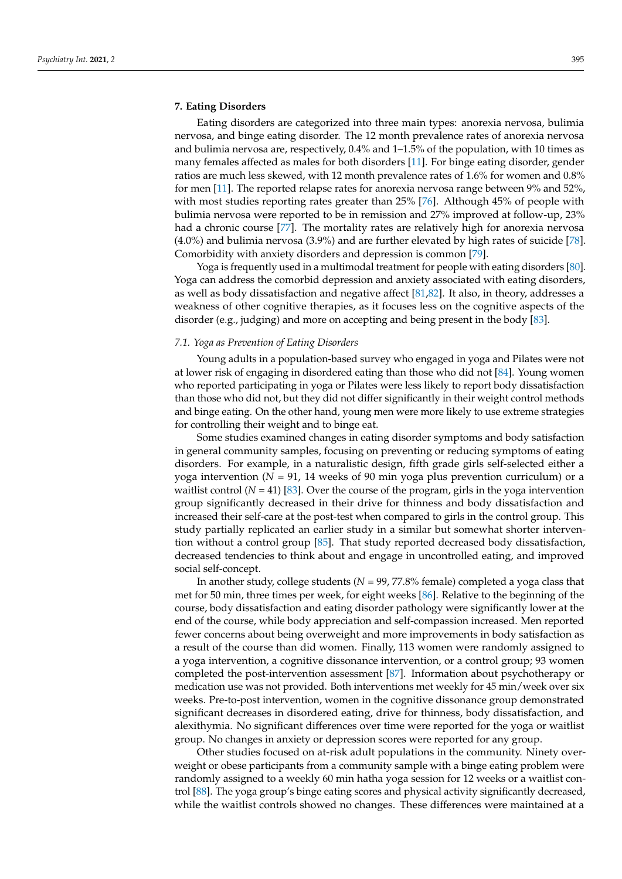Eating disorders are categorized into three main types: anorexia nervosa, bulimia nervosa, and binge eating disorder. The 12 month prevalence rates of anorexia nervosa and bulimia nervosa are, respectively, 0.4% and 1–1.5% of the population, with 10 times as many females affected as males for both disorders [\[11\]](#page-12-9). For binge eating disorder, gender ratios are much less skewed, with 12 month prevalence rates of 1.6% for women and 0.8% for men [\[11\]](#page-12-9). The reported relapse rates for anorexia nervosa range between 9% and 52%, with most studies reporting rates greater than 25% [\[76\]](#page-15-5). Although 45% of people with bulimia nervosa were reported to be in remission and 27% improved at follow-up, 23% had a chronic course [\[77\]](#page-15-6). The mortality rates are relatively high for anorexia nervosa (4.0%) and bulimia nervosa (3.9%) and are further elevated by high rates of suicide [\[78\]](#page-15-7). Comorbidity with anxiety disorders and depression is common [\[79\]](#page-15-8).

Yoga is frequently used in a multimodal treatment for people with eating disorders [\[80\]](#page-15-9). Yoga can address the comorbid depression and anxiety associated with eating disorders, as well as body dissatisfaction and negative affect [\[81,](#page-15-10)[82\]](#page-15-11). It also, in theory, addresses a weakness of other cognitive therapies, as it focuses less on the cognitive aspects of the disorder (e.g., judging) and more on accepting and being present in the body [\[83\]](#page-15-12).

### *7.1. Yoga as Prevention of Eating Disorders*

Young adults in a population-based survey who engaged in yoga and Pilates were not at lower risk of engaging in disordered eating than those who did not [\[84\]](#page-15-13). Young women who reported participating in yoga or Pilates were less likely to report body dissatisfaction than those who did not, but they did not differ significantly in their weight control methods and binge eating. On the other hand, young men were more likely to use extreme strategies for controlling their weight and to binge eat.

Some studies examined changes in eating disorder symptoms and body satisfaction in general community samples, focusing on preventing or reducing symptoms of eating disorders. For example, in a naturalistic design, fifth grade girls self-selected either a yoga intervention (*N* = 91, 14 weeks of 90 min yoga plus prevention curriculum) or a waitlist control  $(N = 41)$  [\[83\]](#page-15-12). Over the course of the program, girls in the yoga intervention group significantly decreased in their drive for thinness and body dissatisfaction and increased their self-care at the post-test when compared to girls in the control group. This study partially replicated an earlier study in a similar but somewhat shorter intervention without a control group [\[85\]](#page-15-14). That study reported decreased body dissatisfaction, decreased tendencies to think about and engage in uncontrolled eating, and improved social self-concept.

In another study, college students (*N* = 99, 77.8% female) completed a yoga class that met for 50 min, three times per week, for eight weeks [\[86\]](#page-15-15). Relative to the beginning of the course, body dissatisfaction and eating disorder pathology were significantly lower at the end of the course, while body appreciation and self-compassion increased. Men reported fewer concerns about being overweight and more improvements in body satisfaction as a result of the course than did women. Finally, 113 women were randomly assigned to a yoga intervention, a cognitive dissonance intervention, or a control group; 93 women completed the post-intervention assessment [\[87\]](#page-15-16). Information about psychotherapy or medication use was not provided. Both interventions met weekly for 45 min/week over six weeks. Pre-to-post intervention, women in the cognitive dissonance group demonstrated significant decreases in disordered eating, drive for thinness, body dissatisfaction, and alexithymia. No significant differences over time were reported for the yoga or waitlist group. No changes in anxiety or depression scores were reported for any group.

Other studies focused on at-risk adult populations in the community. Ninety overweight or obese participants from a community sample with a binge eating problem were randomly assigned to a weekly 60 min hatha yoga session for 12 weeks or a waitlist control [\[88\]](#page-15-17). The yoga group's binge eating scores and physical activity significantly decreased, while the waitlist controls showed no changes. These differences were maintained at a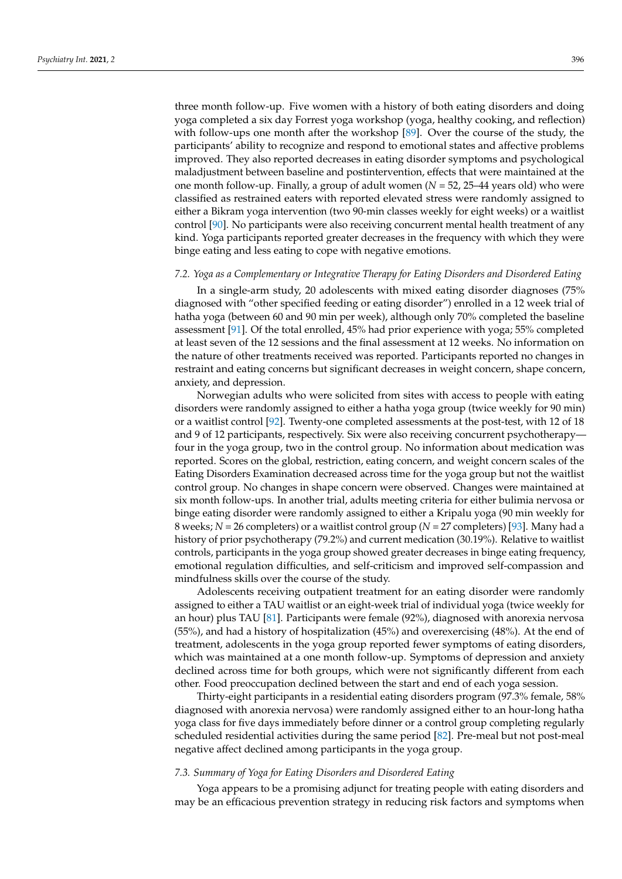three month follow-up. Five women with a history of both eating disorders and doing yoga completed a six day Forrest yoga workshop (yoga, healthy cooking, and reflection) with follow-ups one month after the workshop [\[89\]](#page-15-18). Over the course of the study, the participants' ability to recognize and respond to emotional states and affective problems improved. They also reported decreases in eating disorder symptoms and psychological maladjustment between baseline and postintervention, effects that were maintained at the one month follow-up. Finally, a group of adult women (*N* = 52, 25–44 years old) who were classified as restrained eaters with reported elevated stress were randomly assigned to either a Bikram yoga intervention (two 90-min classes weekly for eight weeks) or a waitlist control [\[90\]](#page-15-19). No participants were also receiving concurrent mental health treatment of any kind. Yoga participants reported greater decreases in the frequency with which they were binge eating and less eating to cope with negative emotions.

#### *7.2. Yoga as a Complementary or Integrative Therapy for Eating Disorders and Disordered Eating*

In a single-arm study, 20 adolescents with mixed eating disorder diagnoses (75% diagnosed with "other specified feeding or eating disorder") enrolled in a 12 week trial of hatha yoga (between 60 and 90 min per week), although only 70% completed the baseline assessment [\[91\]](#page-15-20). Of the total enrolled, 45% had prior experience with yoga; 55% completed at least seven of the 12 sessions and the final assessment at 12 weeks. No information on the nature of other treatments received was reported. Participants reported no changes in restraint and eating concerns but significant decreases in weight concern, shape concern, anxiety, and depression.

Norwegian adults who were solicited from sites with access to people with eating disorders were randomly assigned to either a hatha yoga group (twice weekly for 90 min) or a waitlist control [\[92\]](#page-15-21). Twenty-one completed assessments at the post-test, with 12 of 18 and 9 of 12 participants, respectively. Six were also receiving concurrent psychotherapy four in the yoga group, two in the control group. No information about medication was reported. Scores on the global, restriction, eating concern, and weight concern scales of the Eating Disorders Examination decreased across time for the yoga group but not the waitlist control group. No changes in shape concern were observed. Changes were maintained at six month follow-ups. In another trial, adults meeting criteria for either bulimia nervosa or binge eating disorder were randomly assigned to either a Kripalu yoga (90 min weekly for 8 weeks; *N* = 26 completers) or a waitlist control group (*N* = 27 completers) [\[93\]](#page-15-22). Many had a history of prior psychotherapy (79.2%) and current medication (30.19%). Relative to waitlist controls, participants in the yoga group showed greater decreases in binge eating frequency, emotional regulation difficulties, and self-criticism and improved self-compassion and mindfulness skills over the course of the study.

Adolescents receiving outpatient treatment for an eating disorder were randomly assigned to either a TAU waitlist or an eight-week trial of individual yoga (twice weekly for an hour) plus TAU [\[81\]](#page-15-10). Participants were female (92%), diagnosed with anorexia nervosa (55%), and had a history of hospitalization (45%) and overexercising (48%). At the end of treatment, adolescents in the yoga group reported fewer symptoms of eating disorders, which was maintained at a one month follow-up. Symptoms of depression and anxiety declined across time for both groups, which were not significantly different from each other. Food preoccupation declined between the start and end of each yoga session.

Thirty-eight participants in a residential eating disorders program (97.3% female, 58% diagnosed with anorexia nervosa) were randomly assigned either to an hour-long hatha yoga class for five days immediately before dinner or a control group completing regularly scheduled residential activities during the same period [\[82\]](#page-15-11). Pre-meal but not post-meal negative affect declined among participants in the yoga group.

### *7.3. Summary of Yoga for Eating Disorders and Disordered Eating*

Yoga appears to be a promising adjunct for treating people with eating disorders and may be an efficacious prevention strategy in reducing risk factors and symptoms when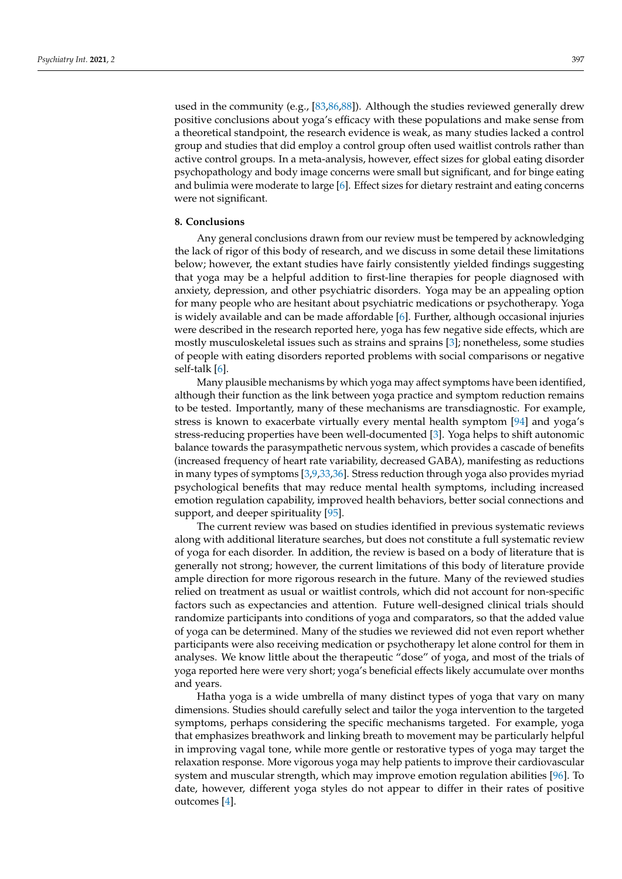used in the community (e.g., [\[83](#page-15-12)[,86](#page-15-15)[,88\]](#page-15-17)). Although the studies reviewed generally drew positive conclusions about yoga's efficacy with these populations and make sense from a theoretical standpoint, the research evidence is weak, as many studies lacked a control group and studies that did employ a control group often used waitlist controls rather than active control groups. In a meta-analysis, however, effect sizes for global eating disorder psychopathology and body image concerns were small but significant, and for binge eating and bulimia were moderate to large [\[6\]](#page-12-5). Effect sizes for dietary restraint and eating concerns were not significant.

### **8. Conclusions**

Any general conclusions drawn from our review must be tempered by acknowledging the lack of rigor of this body of research, and we discuss in some detail these limitations below; however, the extant studies have fairly consistently yielded findings suggesting that yoga may be a helpful addition to first-line therapies for people diagnosed with anxiety, depression, and other psychiatric disorders. Yoga may be an appealing option for many people who are hesitant about psychiatric medications or psychotherapy. Yoga is widely available and can be made affordable [\[6\]](#page-12-5). Further, although occasional injuries were described in the research reported here, yoga has few negative side effects, which are mostly musculoskeletal issues such as strains and sprains [\[3\]](#page-12-2); nonetheless, some studies of people with eating disorders reported problems with social comparisons or negative self-talk [\[6\]](#page-12-5).

Many plausible mechanisms by which yoga may affect symptoms have been identified, although their function as the link between yoga practice and symptom reduction remains to be tested. Importantly, many of these mechanisms are transdiagnostic. For example, stress is known to exacerbate virtually every mental health symptom [\[94\]](#page-15-23) and yoga's stress-reducing properties have been well-documented [\[3\]](#page-12-2). Yoga helps to shift autonomic balance towards the parasympathetic nervous system, which provides a cascade of benefits (increased frequency of heart rate variability, decreased GABA), manifesting as reductions in many types of symptoms [\[3](#page-12-2)[,9](#page-12-8)[,33,](#page-13-12)[36\]](#page-13-15). Stress reduction through yoga also provides myriad psychological benefits that may reduce mental health symptoms, including increased emotion regulation capability, improved health behaviors, better social connections and support, and deeper spirituality [\[95\]](#page-15-24).

The current review was based on studies identified in previous systematic reviews along with additional literature searches, but does not constitute a full systematic review of yoga for each disorder. In addition, the review is based on a body of literature that is generally not strong; however, the current limitations of this body of literature provide ample direction for more rigorous research in the future. Many of the reviewed studies relied on treatment as usual or waitlist controls, which did not account for non-specific factors such as expectancies and attention. Future well-designed clinical trials should randomize participants into conditions of yoga and comparators, so that the added value of yoga can be determined. Many of the studies we reviewed did not even report whether participants were also receiving medication or psychotherapy let alone control for them in analyses. We know little about the therapeutic "dose" of yoga, and most of the trials of yoga reported here were very short; yoga's beneficial effects likely accumulate over months and years.

Hatha yoga is a wide umbrella of many distinct types of yoga that vary on many dimensions. Studies should carefully select and tailor the yoga intervention to the targeted symptoms, perhaps considering the specific mechanisms targeted. For example, yoga that emphasizes breathwork and linking breath to movement may be particularly helpful in improving vagal tone, while more gentle or restorative types of yoga may target the relaxation response. More vigorous yoga may help patients to improve their cardiovascular system and muscular strength, which may improve emotion regulation abilities [\[96\]](#page-15-25). To date, however, different yoga styles do not appear to differ in their rates of positive outcomes [\[4\]](#page-12-3).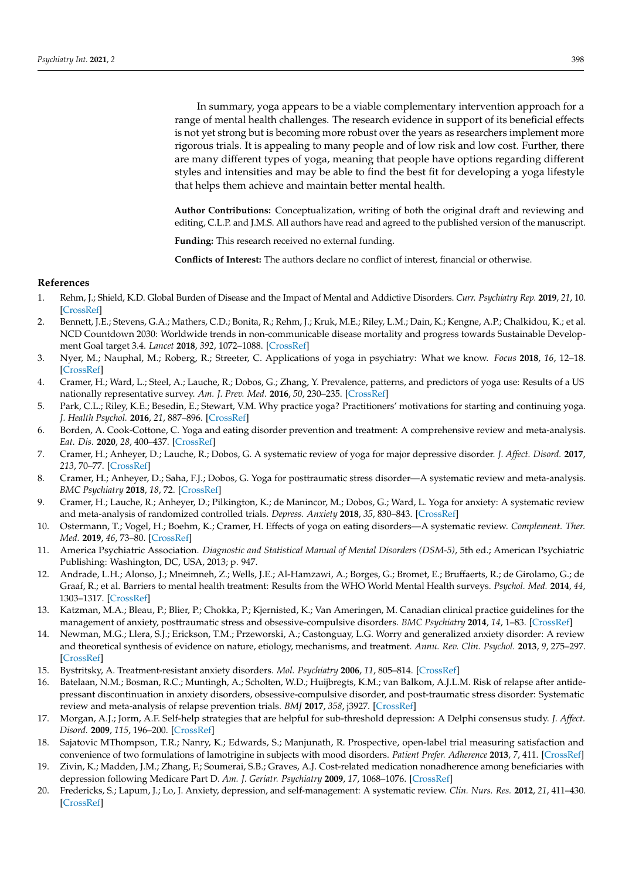In summary, yoga appears to be a viable complementary intervention approach for a range of mental health challenges. The research evidence in support of its beneficial effects is not yet strong but is becoming more robust over the years as researchers implement more rigorous trials. It is appealing to many people and of low risk and low cost. Further, there are many different types of yoga, meaning that people have options regarding different styles and intensities and may be able to find the best fit for developing a yoga lifestyle that helps them achieve and maintain better mental health.

**Author Contributions:** Conceptualization, writing of both the original draft and reviewing and editing, C.L.P. and J.M.S. All authors have read and agreed to the published version of the manuscript.

**Funding:** This research received no external funding.

**Conflicts of Interest:** The authors declare no conflict of interest, financial or otherwise.

# **References**

- <span id="page-12-0"></span>1. Rehm, J.; Shield, K.D. Global Burden of Disease and the Impact of Mental and Addictive Disorders. *Curr. Psychiatry Rep.* **2019**, *21*, 10. [\[CrossRef\]](http://doi.org/10.1007/s11920-019-0997-0)
- <span id="page-12-1"></span>2. Bennett, J.E.; Stevens, G.A.; Mathers, C.D.; Bonita, R.; Rehm, J.; Kruk, M.E.; Riley, L.M.; Dain, K.; Kengne, A.P.; Chalkidou, K.; et al. NCD Countdown 2030: Worldwide trends in non-communicable disease mortality and progress towards Sustainable Development Goal target 3.4. *Lancet* **2018**, *392*, 1072–1088. [\[CrossRef\]](http://doi.org/10.1016/S0140-6736(18)31992-5)
- <span id="page-12-2"></span>3. Nyer, M.; Nauphal, M.; Roberg, R.; Streeter, C. Applications of yoga in psychiatry: What we know. *Focus* **2018**, *16*, 12–18. [\[CrossRef\]](http://doi.org/10.1176/appi.focus.20170055)
- <span id="page-12-3"></span>4. Cramer, H.; Ward, L.; Steel, A.; Lauche, R.; Dobos, G.; Zhang, Y. Prevalence, patterns, and predictors of yoga use: Results of a US nationally representative survey. *Am. J. Prev. Med.* **2016**, *50*, 230–235. [\[CrossRef\]](http://doi.org/10.1016/j.amepre.2015.07.037)
- <span id="page-12-4"></span>5. Park, C.L.; Riley, K.E.; Besedin, E.; Stewart, V.M. Why practice yoga? Practitioners' motivations for starting and continuing yoga. *J. Health Psychol.* **2016**, *21*, 887–896. [\[CrossRef\]](http://doi.org/10.1177/1359105314541314)
- <span id="page-12-5"></span>6. Borden, A. Cook-Cottone, C. Yoga and eating disorder prevention and treatment: A comprehensive review and meta-analysis. *Eat. Dis.* **2020**, *28*, 400–437. [\[CrossRef\]](http://doi.org/10.1080/10640266.2020.1798172)
- <span id="page-12-7"></span>7. Cramer, H.; Anheyer, D.; Lauche, R.; Dobos, G. A systematic review of yoga for major depressive disorder. *J. Affect. Disord.* **2017**, *213*, 70–77. [\[CrossRef\]](http://doi.org/10.1016/j.jad.2017.02.006)
- 8. Cramer, H.; Anheyer, D.; Saha, F.J.; Dobos, G. Yoga for posttraumatic stress disorder—A systematic review and meta-analysis. *BMC Psychiatry* **2018**, *18*, 72. [\[CrossRef\]](http://doi.org/10.1186/s12888-018-1650-x)
- <span id="page-12-8"></span>9. Cramer, H.; Lauche, R.; Anheyer, D.; Pilkington, K.; de Manincor, M.; Dobos, G.; Ward, L. Yoga for anxiety: A systematic review and meta-analysis of randomized controlled trials. *Depress. Anxiety* **2018**, *35*, 830–843. [\[CrossRef\]](http://doi.org/10.1002/da.22762)
- <span id="page-12-6"></span>10. Ostermann, T.; Vogel, H.; Boehm, K.; Cramer, H. Effects of yoga on eating disorders—A systematic review. *Complement. Ther. Med.* **2019**, *46*, 73–80. [\[CrossRef\]](http://doi.org/10.1016/j.ctim.2019.07.021)
- <span id="page-12-9"></span>11. America Psychiatric Association. *Diagnostic and Statistical Manual of Mental Disorders (DSM-5)*, 5th ed.; American Psychiatric Publishing: Washington, DC, USA, 2013; p. 947.
- <span id="page-12-10"></span>12. Andrade, L.H.; Alonso, J.; Mneimneh, Z.; Wells, J.E.; Al-Hamzawi, A.; Borges, G.; Bromet, E.; Bruffaerts, R.; de Girolamo, G.; de Graaf, R.; et al. Barriers to mental health treatment: Results from the WHO World Mental Health surveys. *Psychol. Med.* **2014**, *44*, 1303–1317. [\[CrossRef\]](http://doi.org/10.1017/S0033291713001943)
- <span id="page-12-11"></span>13. Katzman, M.A.; Bleau, P.; Blier, P.; Chokka, P.; Kjernisted, K.; Van Ameringen, M. Canadian clinical practice guidelines for the management of anxiety, posttraumatic stress and obsessive-compulsive disorders. *BMC Psychiatry* **2014**, *14*, 1–83. [\[CrossRef\]](http://doi.org/10.1186/1471-244X-14-S1-S1)
- <span id="page-12-12"></span>14. Newman, M.G.; Llera, S.J.; Erickson, T.M.; Przeworski, A.; Castonguay, L.G. Worry and generalized anxiety disorder: A review and theoretical synthesis of evidence on nature, etiology, mechanisms, and treatment. *Annu. Rev. Clin. Psychol.* **2013**, *9*, 275–297. [\[CrossRef\]](http://doi.org/10.1146/annurev-clinpsy-050212-185544)
- <span id="page-12-13"></span>15. Bystritsky, A. Treatment-resistant anxiety disorders. *Mol. Psychiatry* **2006**, *11*, 805–814. [\[CrossRef\]](http://doi.org/10.1038/sj.mp.4001852)
- <span id="page-12-14"></span>16. Batelaan, N.M.; Bosman, R.C.; Muntingh, A.; Scholten, W.D.; Huijbregts, K.M.; van Balkom, A.J.L.M. Risk of relapse after antidepressant discontinuation in anxiety disorders, obsessive-compulsive disorder, and post-traumatic stress disorder: Systematic review and meta-analysis of relapse prevention trials. *BMJ* **2017**, *358*, j3927. [\[CrossRef\]](http://doi.org/10.1136/bmj.j3927)
- <span id="page-12-15"></span>17. Morgan, A.J.; Jorm, A.F. Self-help strategies that are helpful for sub-threshold depression: A Delphi consensus study. *J. Affect. Disord.* **2009**, *115*, 196–200. [\[CrossRef\]](http://doi.org/10.1016/j.jad.2008.08.004)
- <span id="page-12-16"></span>18. Sajatovic MThompson, T.R.; Nanry, K.; Edwards, S.; Manjunath, R. Prospective, open-label trial measuring satisfaction and convenience of two formulations of lamotrigine in subjects with mood disorders. *Patient Prefer. Adherence* **2013**, *7*, 411. [\[CrossRef\]](http://doi.org/10.2147/PPA.S40271)
- <span id="page-12-17"></span>19. Zivin, K.; Madden, J.M.; Zhang, F.; Soumerai, S.B.; Graves, A.J. Cost-related medication nonadherence among beneficiaries with depression following Medicare Part D. *Am. J. Geriatr. Psychiatry* **2009**, *17*, 1068–1076. [\[CrossRef\]](http://doi.org/10.1097/JGP.0b013e3181b972d1)
- <span id="page-12-18"></span>20. Fredericks, S.; Lapum, J.; Lo, J. Anxiety, depression, and self-management: A systematic review. *Clin. Nurs. Res.* **2012**, *21*, 411–430. [\[CrossRef\]](http://doi.org/10.1177/1054773812436681)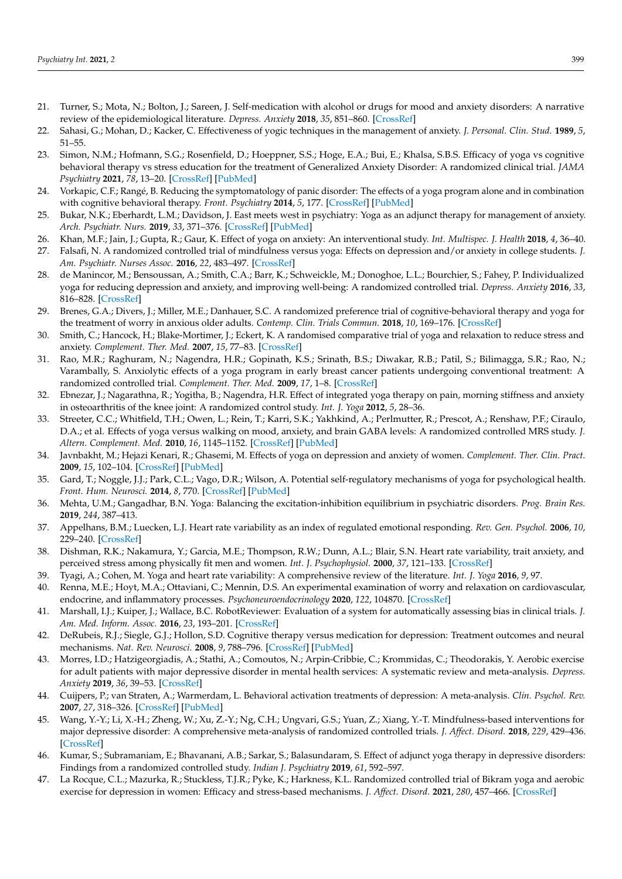- <span id="page-13-0"></span>21. Turner, S.; Mota, N.; Bolton, J.; Sareen, J. Self-medication with alcohol or drugs for mood and anxiety disorders: A narrative review of the epidemiological literature. *Depress. Anxiety* **2018**, *35*, 851–860. [\[CrossRef\]](http://doi.org/10.1002/da.22771)
- <span id="page-13-1"></span>22. Sahasi, G.; Mohan, D.; Kacker, C. Effectiveness of yogic techniques in the management of anxiety. *J. Personal. Clin. Stud.* **1989**, *5*, 51–55.
- <span id="page-13-2"></span>23. Simon, N.M.; Hofmann, S.G.; Rosenfield, D.; Hoeppner, S.S.; Hoge, E.A.; Bui, E.; Khalsa, S.B.S. Efficacy of yoga vs cognitive behavioral therapy vs stress education for the treatment of Generalized Anxiety Disorder: A randomized clinical trial. *JAMA Psychiatry* **2021**, *78*, 13–20. [\[CrossRef\]](http://doi.org/10.1001/jamapsychiatry.2020.2496) [\[PubMed\]](http://www.ncbi.nlm.nih.gov/pubmed/32805013)
- <span id="page-13-3"></span>24. Vorkapic, C.F.; Rangé, B. Reducing the symptomatology of panic disorder: The effects of a yoga program alone and in combination with cognitive behavioral therapy. *Front. Psychiatry* **2014**, *5*, 177. [\[CrossRef\]](http://doi.org/10.3389/fpsyt.2014.00177) [\[PubMed\]](http://www.ncbi.nlm.nih.gov/pubmed/25538634)
- <span id="page-13-4"></span>25. Bukar, N.K.; Eberhardt, L.M.; Davidson, J. East meets west in psychiatry: Yoga as an adjunct therapy for management of anxiety. *Arch. Psychiatr. Nurs.* **2019**, *33*, 371–376. [\[CrossRef\]](http://doi.org/10.1016/j.apnu.2019.04.007) [\[PubMed\]](http://www.ncbi.nlm.nih.gov/pubmed/31280782)
- <span id="page-13-5"></span>26. Khan, M.F.; Jain, J.; Gupta, R.; Gaur, K. Effect of yoga on anxiety: An interventional study. *Int. Multispec. J. Health* **2018**, *4*, 36–40.
- <span id="page-13-6"></span>27. Falsafi, N. A randomized controlled trial of mindfulness versus yoga: Effects on depression and/or anxiety in college students. *J. Am. Psychiatr. Nurses Assoc.* **2016**, *22*, 483–497. [\[CrossRef\]](http://doi.org/10.1177/1078390316663307)
- <span id="page-13-7"></span>28. de Manincor, M.; Bensoussan, A.; Smith, C.A.; Barr, K.; Schweickle, M.; Donoghoe, L.L.; Bourchier, S.; Fahey, P. Individualized yoga for reducing depression and anxiety, and improving well-being: A randomized controlled trial. *Depress. Anxiety* **2016**, *33*, 816–828. [\[CrossRef\]](http://doi.org/10.1002/da.22502)
- <span id="page-13-8"></span>29. Brenes, G.A.; Divers, J.; Miller, M.E.; Danhauer, S.C. A randomized preference trial of cognitive-behavioral therapy and yoga for the treatment of worry in anxious older adults. *Contemp. Clin. Trials Commun.* **2018**, *10*, 169–176. [\[CrossRef\]](http://doi.org/10.1016/j.conctc.2018.05.002)
- <span id="page-13-9"></span>30. Smith, C.; Hancock, H.; Blake-Mortimer, J.; Eckert, K. A randomised comparative trial of yoga and relaxation to reduce stress and anxiety. *Complement. Ther. Med.* **2007**, *15*, 77–83. [\[CrossRef\]](http://doi.org/10.1016/j.ctim.2006.05.001)
- <span id="page-13-10"></span>31. Rao, M.R.; Raghuram, N.; Nagendra, H.R.; Gopinath, K.S.; Srinath, B.S.; Diwakar, R.B.; Patil, S.; Bilimagga, S.R.; Rao, N.; Varambally, S. Anxiolytic effects of a yoga program in early breast cancer patients undergoing conventional treatment: A randomized controlled trial. *Complement. Ther. Med.* **2009**, *17*, 1–8. [\[CrossRef\]](http://doi.org/10.1016/j.ctim.2008.05.005)
- <span id="page-13-11"></span>32. Ebnezar, J.; Nagarathna, R.; Yogitha, B.; Nagendra, H.R. Effect of integrated yoga therapy on pain, morning stiffness and anxiety in osteoarthritis of the knee joint: A randomized control study. *Int. J. Yoga* **2012**, *5*, 28–36.
- <span id="page-13-12"></span>33. Streeter, C.C.; Whitfield, T.H.; Owen, L.; Rein, T.; Karri, S.K.; Yakhkind, A.; Perlmutter, R.; Prescot, A.; Renshaw, P.F.; Ciraulo, D.A.; et al. Effects of yoga versus walking on mood, anxiety, and brain GABA levels: A randomized controlled MRS study. *J. Altern. Complement. Med.* **2010**, *16*, 1145–1152. [\[CrossRef\]](http://doi.org/10.1089/acm.2010.0007) [\[PubMed\]](http://www.ncbi.nlm.nih.gov/pubmed/20722471)
- <span id="page-13-13"></span>34. Javnbakht, M.; Hejazi Kenari, R.; Ghasemi, M. Effects of yoga on depression and anxiety of women. *Complement. Ther. Clin. Pract.* **2009**, *15*, 102–104. [\[CrossRef\]](http://doi.org/10.1016/j.ctcp.2009.01.003) [\[PubMed\]](http://www.ncbi.nlm.nih.gov/pubmed/19341989)
- <span id="page-13-14"></span>35. Gard, T.; Noggle, J.J.; Park, C.L.; Vago, D.R.; Wilson, A. Potential self-regulatory mechanisms of yoga for psychological health. *Front. Hum. Neurosci.* **2014**, *8*, 770. [\[CrossRef\]](http://doi.org/10.3389/fnhum.2014.00770) [\[PubMed\]](http://www.ncbi.nlm.nih.gov/pubmed/25368562)
- <span id="page-13-15"></span>36. Mehta, U.M.; Gangadhar, B.N. Yoga: Balancing the excitation-inhibition equilibrium in psychiatric disorders. *Prog. Brain Res.* **2019**, *244*, 387–413.
- <span id="page-13-16"></span>37. Appelhans, B.M.; Luecken, L.J. Heart rate variability as an index of regulated emotional responding. *Rev. Gen. Psychol.* **2006**, *10*, 229–240. [\[CrossRef\]](http://doi.org/10.1037/1089-2680.10.3.229)
- 38. Dishman, R.K.; Nakamura, Y.; Garcia, M.E.; Thompson, R.W.; Dunn, A.L.; Blair, S.N. Heart rate variability, trait anxiety, and perceived stress among physically fit men and women. *Int. J. Psychophysiol.* **2000**, *37*, 121–133. [\[CrossRef\]](http://doi.org/10.1016/S0167-8760(00)00085-4)
- <span id="page-13-17"></span>39. Tyagi, A.; Cohen, M. Yoga and heart rate variability: A comprehensive review of the literature. *Int. J. Yoga* **2016**, *9*, 97.
- <span id="page-13-18"></span>40. Renna, M.E.; Hoyt, M.A.; Ottaviani, C.; Mennin, D.S. An experimental examination of worry and relaxation on cardiovascular, endocrine, and inflammatory processes. *Psychoneuroendocrinology* **2020**, *122*, 104870. [\[CrossRef\]](http://doi.org/10.1016/j.psyneuen.2020.104870)
- <span id="page-13-19"></span>41. Marshall, I.J.; Kuiper, J.; Wallace, B.C. RobotReviewer: Evaluation of a system for automatically assessing bias in clinical trials. *J. Am. Med. Inform. Assoc.* **2016**, *23*, 193–201. [\[CrossRef\]](http://doi.org/10.1093/jamia/ocv044)
- <span id="page-13-20"></span>42. DeRubeis, R.J.; Siegle, G.J.; Hollon, S.D. Cognitive therapy versus medication for depression: Treatment outcomes and neural mechanisms. *Nat. Rev. Neurosci.* **2008**, *9*, 788–796. [\[CrossRef\]](http://doi.org/10.1038/nrn2345) [\[PubMed\]](http://www.ncbi.nlm.nih.gov/pubmed/18784657)
- <span id="page-13-21"></span>43. Morres, I.D.; Hatzigeorgiadis, A.; Stathi, A.; Comoutos, N.; Arpin-Cribbie, C.; Krommidas, C.; Theodorakis, Y. Aerobic exercise for adult patients with major depressive disorder in mental health services: A systematic review and meta-analysis. *Depress. Anxiety* **2019**, *36*, 39–53. [\[CrossRef\]](http://doi.org/10.1002/da.22842)
- <span id="page-13-22"></span>44. Cuijpers, P.; van Straten, A.; Warmerdam, L. Behavioral activation treatments of depression: A meta-analysis. *Clin. Psychol. Rev.* **2007**, *27*, 318–326. [\[CrossRef\]](http://doi.org/10.1016/j.cpr.2006.11.001) [\[PubMed\]](http://www.ncbi.nlm.nih.gov/pubmed/17184887)
- <span id="page-13-23"></span>45. Wang, Y.-Y.; Li, X.-H.; Zheng, W.; Xu, Z.-Y.; Ng, C.H.; Ungvari, G.S.; Yuan, Z.; Xiang, Y.-T. Mindfulness-based interventions for major depressive disorder: A comprehensive meta-analysis of randomized controlled trials. *J. Affect. Disord.* **2018**, *229*, 429–436. [\[CrossRef\]](http://doi.org/10.1016/j.jad.2017.12.093)
- <span id="page-13-24"></span>46. Kumar, S.; Subramaniam, E.; Bhavanani, A.B.; Sarkar, S.; Balasundaram, S. Effect of adjunct yoga therapy in depressive disorders: Findings from a randomized controlled study. *Indian J. Psychiatry* **2019**, *61*, 592–597.
- <span id="page-13-25"></span>47. La Rocque, C.L.; Mazurka, R.; Stuckless, T.J.R.; Pyke, K.; Harkness, K.L. Randomized controlled trial of Bikram yoga and aerobic exercise for depression in women: Efficacy and stress-based mechanisms. *J. Affect. Disord.* **2021**, *280*, 457–466. [\[CrossRef\]](http://doi.org/10.1016/j.jad.2020.10.067)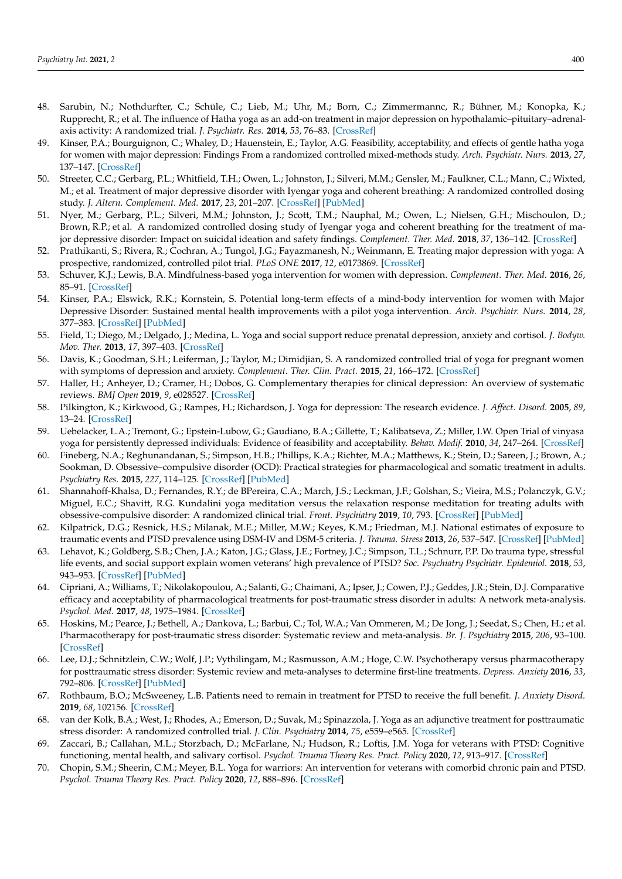- <span id="page-14-0"></span>48. Sarubin, N.; Nothdurfter, C.; Schüle, C.; Lieb, M.; Uhr, M.; Born, C.; Zimmermannc, R.; Bühner, M.; Konopka, K.; Rupprecht, R.; et al. The influence of Hatha yoga as an add-on treatment in major depression on hypothalamic–pituitary–adrenalaxis activity: A randomized trial. *J. Psychiatr. Res.* **2014**, *53*, 76–83. [\[CrossRef\]](http://doi.org/10.1016/j.jpsychires.2014.02.022)
- <span id="page-14-1"></span>49. Kinser, P.A.; Bourguignon, C.; Whaley, D.; Hauenstein, E.; Taylor, A.G. Feasibility, acceptability, and effects of gentle hatha yoga for women with major depression: Findings From a randomized controlled mixed-methods study. *Arch. Psychiatr. Nurs.* **2013**, *27*, 137–147. [\[CrossRef\]](http://doi.org/10.1016/j.apnu.2013.01.003)
- <span id="page-14-2"></span>50. Streeter, C.C.; Gerbarg, P.L.; Whitfield, T.H.; Owen, L.; Johnston, J.; Silveri, M.M.; Gensler, M.; Faulkner, C.L.; Mann, C.; Wixted, M.; et al. Treatment of major depressive disorder with Iyengar yoga and coherent breathing: A randomized controlled dosing study. *J. Altern. Complement. Med.* **2017**, *23*, 201–207. [\[CrossRef\]](http://doi.org/10.1089/acm.2016.0140) [\[PubMed\]](http://www.ncbi.nlm.nih.gov/pubmed/28296480)
- <span id="page-14-3"></span>51. Nyer, M.; Gerbarg, P.L.; Silveri, M.M.; Johnston, J.; Scott, T.M.; Nauphal, M.; Owen, L.; Nielsen, G.H.; Mischoulon, D.; Brown, R.P.; et al. A randomized controlled dosing study of Iyengar yoga and coherent breathing for the treatment of major depressive disorder: Impact on suicidal ideation and safety findings. *Complement. Ther. Med.* **2018**, *37*, 136–142. [\[CrossRef\]](http://doi.org/10.1016/j.ctim.2018.02.006)
- <span id="page-14-4"></span>52. Prathikanti, S.; Rivera, R.; Cochran, A.; Tungol, J.G.; Fayazmanesh, N.; Weinmann, E. Treating major depression with yoga: A prospective, randomized, controlled pilot trial. *PLoS ONE* **2017**, *12*, e0173869. [\[CrossRef\]](http://doi.org/10.1371/journal.pone.0173869)
- <span id="page-14-5"></span>53. Schuver, K.J.; Lewis, B.A. Mindfulness-based yoga intervention for women with depression. *Complement. Ther. Med.* **2016**, *26*, 85–91. [\[CrossRef\]](http://doi.org/10.1016/j.ctim.2016.03.003)
- <span id="page-14-6"></span>54. Kinser, P.A.; Elswick, R.K.; Kornstein, S. Potential long-term effects of a mind-body intervention for women with Major Depressive Disorder: Sustained mental health improvements with a pilot yoga intervention. *Arch. Psychiatr. Nurs.* **2014**, *28*, 377–383. [\[CrossRef\]](http://doi.org/10.1016/j.apnu.2014.08.014) [\[PubMed\]](http://www.ncbi.nlm.nih.gov/pubmed/25457687)
- <span id="page-14-7"></span>55. Field, T.; Diego, M.; Delgado, J.; Medina, L. Yoga and social support reduce prenatal depression, anxiety and cortisol. *J. Bodyw. Mov. Ther.* **2013**, *17*, 397–403. [\[CrossRef\]](http://doi.org/10.1016/j.jbmt.2013.03.010)
- <span id="page-14-8"></span>56. Davis, K.; Goodman, S.H.; Leiferman, J.; Taylor, M.; Dimidjian, S. A randomized controlled trial of yoga for pregnant women with symptoms of depression and anxiety. *Complement. Ther. Clin. Pract.* **2015**, *21*, 166–172. [\[CrossRef\]](http://doi.org/10.1016/j.ctcp.2015.06.005)
- <span id="page-14-9"></span>57. Haller, H.; Anheyer, D.; Cramer, H.; Dobos, G. Complementary therapies for clinical depression: An overview of systematic reviews. *BMJ Open* **2019**, *9*, e028527. [\[CrossRef\]](http://doi.org/10.1136/bmjopen-2018-028527)
- 58. Pilkington, K.; Kirkwood, G.; Rampes, H.; Richardson, J. Yoga for depression: The research evidence. *J. Affect. Disord.* **2005**, *89*, 13–24. [\[CrossRef\]](http://doi.org/10.1016/j.jad.2005.08.013)
- <span id="page-14-10"></span>59. Uebelacker, L.A.; Tremont, G.; Epstein-Lubow, G.; Gaudiano, B.A.; Gillette, T.; Kalibatseva, Z.; Miller, I.W. Open Trial of vinyasa yoga for persistently depressed individuals: Evidence of feasibility and acceptability. *Behav. Modif.* **2010**, *34*, 247–264. [\[CrossRef\]](http://doi.org/10.1177/0145445510368845)
- <span id="page-14-11"></span>60. Fineberg, N.A.; Reghunandanan, S.; Simpson, H.B.; Phillips, K.A.; Richter, M.A.; Matthews, K.; Stein, D.; Sareen, J.; Brown, A.; Sookman, D. Obsessive–compulsive disorder (OCD): Practical strategies for pharmacological and somatic treatment in adults. *Psychiatry Res.* **2015**, *227*, 114–125. [\[CrossRef\]](http://doi.org/10.1016/j.psychres.2014.12.003) [\[PubMed\]](http://www.ncbi.nlm.nih.gov/pubmed/25681005)
- <span id="page-14-12"></span>61. Shannahoff-Khalsa, D.; Fernandes, R.Y.; de BPereira, C.A.; March, J.S.; Leckman, J.F.; Golshan, S.; Vieira, M.S.; Polanczyk, G.V.; Miguel, E.C.; Shavitt, R.G. Kundalini yoga meditation versus the relaxation response meditation for treating adults with obsessive-compulsive disorder: A randomized clinical trial. *Front. Psychiatry* **2019**, *10*, 793. [\[CrossRef\]](http://doi.org/10.3389/fpsyt.2019.00793) [\[PubMed\]](http://www.ncbi.nlm.nih.gov/pubmed/31780963)
- <span id="page-14-13"></span>62. Kilpatrick, D.G.; Resnick, H.S.; Milanak, M.E.; Miller, M.W.; Keyes, K.M.; Friedman, M.J. National estimates of exposure to traumatic events and PTSD prevalence using DSM-IV and DSM-5 criteria. *J. Trauma. Stress* **2013**, *26*, 537–547. [\[CrossRef\]](http://doi.org/10.1002/jts.21848) [\[PubMed\]](http://www.ncbi.nlm.nih.gov/pubmed/24151000)
- <span id="page-14-14"></span>63. Lehavot, K.; Goldberg, S.B.; Chen, J.A.; Katon, J.G.; Glass, J.E.; Fortney, J.C.; Simpson, T.L.; Schnurr, P.P. Do trauma type, stressful life events, and social support explain women veterans' high prevalence of PTSD? *Soc. Psychiatry Psychiatr. Epidemiol.* **2018**, *53*, 943–953. [\[CrossRef\]](http://doi.org/10.1007/s00127-018-1550-x) [\[PubMed\]](http://www.ncbi.nlm.nih.gov/pubmed/29936598)
- <span id="page-14-15"></span>64. Cipriani, A.; Williams, T.; Nikolakopoulou, A.; Salanti, G.; Chaimani, A.; Ipser, J.; Cowen, P.J.; Geddes, J.R.; Stein, D.J. Comparative efficacy and acceptability of pharmacological treatments for post-traumatic stress disorder in adults: A network meta-analysis. *Psychol. Med.* **2017**, *48*, 1975–1984. [\[CrossRef\]](http://doi.org/10.1017/S003329171700349X)
- <span id="page-14-16"></span>65. Hoskins, M.; Pearce, J.; Bethell, A.; Dankova, L.; Barbui, C.; Tol, W.A.; Van Ommeren, M.; De Jong, J.; Seedat, S.; Chen, H.; et al. Pharmacotherapy for post-traumatic stress disorder: Systematic review and meta-analysis. *Br. J. Psychiatry* **2015**, *206*, 93–100. [\[CrossRef\]](http://doi.org/10.1192/bjp.bp.114.148551)
- <span id="page-14-17"></span>66. Lee, D.J.; Schnitzlein, C.W.; Wolf, J.P.; Vythilingam, M.; Rasmusson, A.M.; Hoge, C.W. Psychotherapy versus pharmacotherapy for posttraumatic stress disorder: Systemic review and meta-analyses to determine first-line treatments. *Depress. Anxiety* **2016**, *33*, 792–806. [\[CrossRef\]](http://doi.org/10.1002/da.22511) [\[PubMed\]](http://www.ncbi.nlm.nih.gov/pubmed/27126398)
- <span id="page-14-18"></span>67. Rothbaum, B.O.; McSweeney, L.B. Patients need to remain in treatment for PTSD to receive the full benefit. *J. Anxiety Disord.* **2019**, *68*, 102156. [\[CrossRef\]](http://doi.org/10.1016/j.janxdis.2019.102156)
- <span id="page-14-19"></span>68. van der Kolk, B.A.; West, J.; Rhodes, A.; Emerson, D.; Suvak, M.; Spinazzola, J. Yoga as an adjunctive treatment for posttraumatic stress disorder: A randomized controlled trial. *J. Clin. Psychiatry* **2014**, *75*, e559–e565. [\[CrossRef\]](http://doi.org/10.4088/JCP.13m08561)
- <span id="page-14-20"></span>69. Zaccari, B.; Callahan, M.L.; Storzbach, D.; McFarlane, N.; Hudson, R.; Loftis, J.M. Yoga for veterans with PTSD: Cognitive functioning, mental health, and salivary cortisol. *Psychol. Trauma Theory Res. Pract. Policy* **2020**, *12*, 913–917. [\[CrossRef\]](http://doi.org/10.1037/tra0000909)
- <span id="page-14-21"></span>70. Chopin, S.M.; Sheerin, C.M.; Meyer, B.L. Yoga for warriors: An intervention for veterans with comorbid chronic pain and PTSD. *Psychol. Trauma Theory Res. Pract. Policy* **2020**, *12*, 888–896. [\[CrossRef\]](http://doi.org/10.1037/tra0000649)